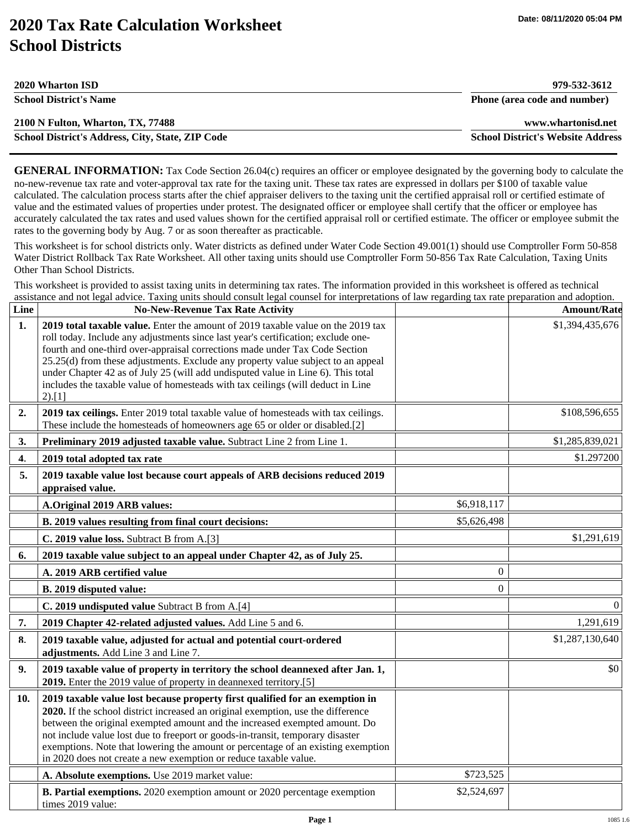## **2020 Tax Rate Calculation Worksheet School Districts**

| 2020 Wharton ISD                                 | 979-532-3612                             |  |
|--------------------------------------------------|------------------------------------------|--|
| <b>School District's Name</b>                    | Phone (area code and number)             |  |
| 2100 N Fulton, Wharton, TX, 77488                | www.whartonisd.net                       |  |
| School District's Address, City, State, ZIP Code | <b>School District's Website Address</b> |  |

**GENERAL INFORMATION:** Tax Code Section 26.04(c) requires an officer or employee designated by the governing body to calculate the no-new-revenue tax rate and voter-approval tax rate for the taxing unit. These tax rates are expressed in dollars per \$100 of taxable value calculated. The calculation process starts after the chief appraiser delivers to the taxing unit the certified appraisal roll or certified estimate of value and the estimated values of properties under protest. The designated officer or employee shall certify that the officer or employee has accurately calculated the tax rates and used values shown for the certified appraisal roll or certified estimate. The officer or employee submit the rates to the governing body by Aug. 7 or as soon thereafter as practicable.

This worksheet is for school districts only. Water districts as defined under Water Code Section 49.001(1) should use Comptroller Form 50-858 Water District Rollback Tax Rate Worksheet. All other taxing units should use Comptroller Form 50-856 Tax Rate Calculation, Taxing Units Other Than School Districts.

This worksheet is provided to assist taxing units in determining tax rates. The information provided in this worksheet is offered as technical assistance and not legal advice. Taxing units should consult legal counsel for interpretations of law regarding tax rate preparation and adoption.

| Line           | <b>No-New-Revenue Tax Rate Activity</b>                                                                                                                                                                                                                                                                                                                                                                                                                                                                                   |                  | <b>Amount/Rate</b> |
|----------------|---------------------------------------------------------------------------------------------------------------------------------------------------------------------------------------------------------------------------------------------------------------------------------------------------------------------------------------------------------------------------------------------------------------------------------------------------------------------------------------------------------------------------|------------------|--------------------|
| 1 <sub>1</sub> | 2019 total taxable value. Enter the amount of 2019 taxable value on the 2019 tax<br>roll today. Include any adjustments since last year's certification; exclude one-<br>fourth and one-third over-appraisal corrections made under Tax Code Section<br>25.25(d) from these adjustments. Exclude any property value subject to an appeal<br>under Chapter 42 as of July 25 (will add undisputed value in Line 6). This total<br>includes the taxable value of homesteads with tax ceilings (will deduct in Line<br>2).[1] |                  | \$1,394,435,676    |
| 2.             | 2019 tax ceilings. Enter 2019 total taxable value of homesteads with tax ceilings.<br>These include the homesteads of homeowners age 65 or older or disabled.[2]                                                                                                                                                                                                                                                                                                                                                          |                  | \$108,596,655      |
| 3.             | Preliminary 2019 adjusted taxable value. Subtract Line 2 from Line 1.                                                                                                                                                                                                                                                                                                                                                                                                                                                     |                  | \$1,285,839,021    |
| 4.             | 2019 total adopted tax rate                                                                                                                                                                                                                                                                                                                                                                                                                                                                                               |                  | \$1.297200         |
| 5.             | 2019 taxable value lost because court appeals of ARB decisions reduced 2019<br>appraised value.                                                                                                                                                                                                                                                                                                                                                                                                                           |                  |                    |
|                | A.Original 2019 ARB values:                                                                                                                                                                                                                                                                                                                                                                                                                                                                                               | \$6,918,117      |                    |
|                | B. 2019 values resulting from final court decisions:                                                                                                                                                                                                                                                                                                                                                                                                                                                                      | \$5,626,498      |                    |
|                | C. 2019 value loss. Subtract B from A.[3]                                                                                                                                                                                                                                                                                                                                                                                                                                                                                 |                  | \$1,291,619        |
| 6.             | 2019 taxable value subject to an appeal under Chapter 42, as of July 25.                                                                                                                                                                                                                                                                                                                                                                                                                                                  |                  |                    |
|                | A. 2019 ARB certified value                                                                                                                                                                                                                                                                                                                                                                                                                                                                                               | $\Omega$         |                    |
|                | B. 2019 disputed value:                                                                                                                                                                                                                                                                                                                                                                                                                                                                                                   | $\boldsymbol{0}$ |                    |
|                | C. 2019 undisputed value Subtract B from A.[4]                                                                                                                                                                                                                                                                                                                                                                                                                                                                            |                  | $\theta$           |
| 7.             | 2019 Chapter 42-related adjusted values. Add Line 5 and 6.                                                                                                                                                                                                                                                                                                                                                                                                                                                                |                  | 1,291,619          |
| 8.             | 2019 taxable value, adjusted for actual and potential court-ordered<br>adjustments. Add Line 3 and Line 7.                                                                                                                                                                                                                                                                                                                                                                                                                |                  | \$1,287,130,640    |
| 9.             | 2019 taxable value of property in territory the school deannexed after Jan. 1,<br>2019. Enter the 2019 value of property in deannexed territory.[5]                                                                                                                                                                                                                                                                                                                                                                       |                  | \$0                |
| 10.            | 2019 taxable value lost because property first qualified for an exemption in<br>2020. If the school district increased an original exemption, use the difference<br>between the original exempted amount and the increased exempted amount. Do<br>not include value lost due to freeport or goods-in-transit, temporary disaster<br>exemptions. Note that lowering the amount or percentage of an existing exemption<br>in 2020 does not create a new exemption or reduce taxable value.                                  |                  |                    |
|                | A. Absolute exemptions. Use 2019 market value:                                                                                                                                                                                                                                                                                                                                                                                                                                                                            | \$723,525        |                    |
|                | B. Partial exemptions. 2020 exemption amount or 2020 percentage exemption<br>times 2019 value:                                                                                                                                                                                                                                                                                                                                                                                                                            | \$2,524,697      |                    |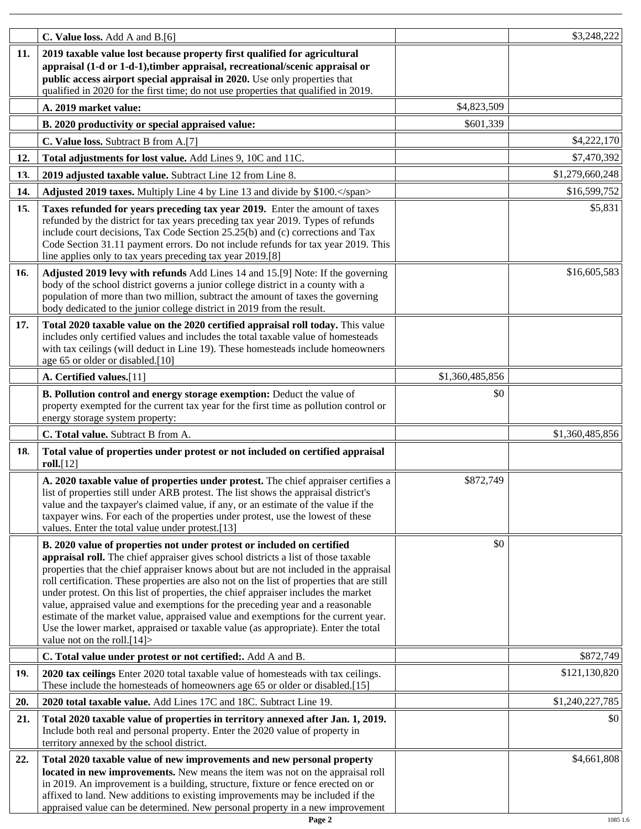|     | C. Value loss. Add A and B.[6]                                                                                                                                                                                                                                                                                                                                                                                                                                                                                                                                                                                                                                                                                                          |                 | \$3,248,222     |
|-----|-----------------------------------------------------------------------------------------------------------------------------------------------------------------------------------------------------------------------------------------------------------------------------------------------------------------------------------------------------------------------------------------------------------------------------------------------------------------------------------------------------------------------------------------------------------------------------------------------------------------------------------------------------------------------------------------------------------------------------------------|-----------------|-----------------|
| 11. | 2019 taxable value lost because property first qualified for agricultural<br>appraisal (1-d or 1-d-1), timber appraisal, recreational/scenic appraisal or<br>public access airport special appraisal in 2020. Use only properties that<br>qualified in 2020 for the first time; do not use properties that qualified in 2019.                                                                                                                                                                                                                                                                                                                                                                                                           |                 |                 |
|     | A. 2019 market value:                                                                                                                                                                                                                                                                                                                                                                                                                                                                                                                                                                                                                                                                                                                   | \$4,823,509     |                 |
|     | B. 2020 productivity or special appraised value:                                                                                                                                                                                                                                                                                                                                                                                                                                                                                                                                                                                                                                                                                        | \$601,339       |                 |
|     | C. Value loss. Subtract B from A.[7]                                                                                                                                                                                                                                                                                                                                                                                                                                                                                                                                                                                                                                                                                                    |                 | \$4,222,170     |
| 12. | Total adjustments for lost value. Add Lines 9, 10C and 11C.                                                                                                                                                                                                                                                                                                                                                                                                                                                                                                                                                                                                                                                                             |                 | \$7,470,392     |
| 13. | 2019 adjusted taxable value. Subtract Line 12 from Line 8.                                                                                                                                                                                                                                                                                                                                                                                                                                                                                                                                                                                                                                                                              |                 | \$1,279,660,248 |
| 14. | Adjusted 2019 taxes. Multiply Line 4 by Line 13 and divide by \$100.                                                                                                                                                                                                                                                                                                                                                                                                                                                                                                                                                                                                                                                                    |                 | \$16,599,752    |
| 15. | Taxes refunded for years preceding tax year 2019. Enter the amount of taxes<br>refunded by the district for tax years preceding tax year 2019. Types of refunds<br>include court decisions, Tax Code Section 25.25(b) and (c) corrections and Tax<br>Code Section 31.11 payment errors. Do not include refunds for tax year 2019. This<br>line applies only to tax years preceding tax year 2019.[8]                                                                                                                                                                                                                                                                                                                                    |                 | \$5,831         |
| 16. | Adjusted 2019 levy with refunds Add Lines 14 and 15.[9] Note: If the governing<br>body of the school district governs a junior college district in a county with a<br>population of more than two million, subtract the amount of taxes the governing<br>body dedicated to the junior college district in 2019 from the result.                                                                                                                                                                                                                                                                                                                                                                                                         |                 | \$16,605,583    |
| 17. | Total 2020 taxable value on the 2020 certified appraisal roll today. This value<br>includes only certified values and includes the total taxable value of homesteads<br>with tax ceilings (will deduct in Line 19). These homesteads include homeowners<br>age 65 or older or disabled.[10]                                                                                                                                                                                                                                                                                                                                                                                                                                             |                 |                 |
|     | A. Certified values.[11]                                                                                                                                                                                                                                                                                                                                                                                                                                                                                                                                                                                                                                                                                                                | \$1,360,485,856 |                 |
|     | B. Pollution control and energy storage exemption: Deduct the value of<br>property exempted for the current tax year for the first time as pollution control or<br>energy storage system property:                                                                                                                                                                                                                                                                                                                                                                                                                                                                                                                                      | \$0             |                 |
|     | C. Total value. Subtract B from A.                                                                                                                                                                                                                                                                                                                                                                                                                                                                                                                                                                                                                                                                                                      |                 | \$1,360,485,856 |
| 18. | Total value of properties under protest or not included on certified appraisal<br>roll.[12]                                                                                                                                                                                                                                                                                                                                                                                                                                                                                                                                                                                                                                             |                 |                 |
|     | A. 2020 taxable value of properties under protest. The chief appraiser certifies a<br>list of properties still under ARB protest. The list shows the appraisal district's<br>value and the taxpayer's claimed value, if any, or an estimate of the value if the<br>taxpayer wins. For each of the properties under protest, use the lowest of these<br>values. Enter the total value under protest.[13]                                                                                                                                                                                                                                                                                                                                 | \$872,749       |                 |
|     | B. 2020 value of properties not under protest or included on certified<br>appraisal roll. The chief appraiser gives school districts a list of those taxable<br>properties that the chief appraiser knows about but are not included in the appraisal<br>roll certification. These properties are also not on the list of properties that are still<br>under protest. On this list of properties, the chief appraiser includes the market<br>value, appraised value and exemptions for the preceding year and a reasonable<br>estimate of the market value, appraised value and exemptions for the current year.<br>Use the lower market, appraised or taxable value (as appropriate). Enter the total<br>value not on the roll. $[14]$ | \$0             |                 |
|     | C. Total value under protest or not certified:. Add A and B.                                                                                                                                                                                                                                                                                                                                                                                                                                                                                                                                                                                                                                                                            |                 | \$872,749       |
| 19. | 2020 tax ceilings Enter 2020 total taxable value of homesteads with tax ceilings.<br>These include the homesteads of homeowners age 65 or older or disabled.[15]                                                                                                                                                                                                                                                                                                                                                                                                                                                                                                                                                                        |                 | \$121,130,820   |
| 20. | 2020 total taxable value. Add Lines 17C and 18C. Subtract Line 19.                                                                                                                                                                                                                                                                                                                                                                                                                                                                                                                                                                                                                                                                      |                 | \$1,240,227,785 |
| 21. | Total 2020 taxable value of properties in territory annexed after Jan. 1, 2019.<br>Include both real and personal property. Enter the 2020 value of property in<br>territory annexed by the school district.                                                                                                                                                                                                                                                                                                                                                                                                                                                                                                                            |                 | \$0             |
| 22. | Total 2020 taxable value of new improvements and new personal property<br>located in new improvements. New means the item was not on the appraisal roll<br>in 2019. An improvement is a building, structure, fixture or fence erected on or<br>affixed to land. New additions to existing improvements may be included if the<br>appraised value can be determined. New personal property in a new improvement                                                                                                                                                                                                                                                                                                                          |                 | \$4,661,808     |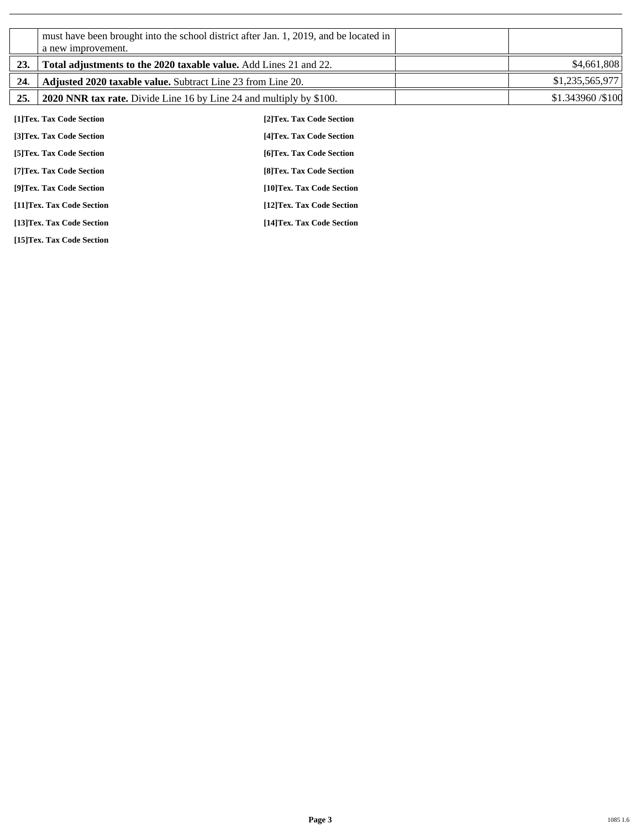|     | a new improvement.                                                  | must have been brought into the school district after Jan. 1, 2019, and be located in |                  |
|-----|---------------------------------------------------------------------|---------------------------------------------------------------------------------------|------------------|
| 23. | Total adjustments to the 2020 taxable value. Add Lines 21 and 22.   |                                                                                       | \$4,661,808      |
| 24. | Adjusted 2020 taxable value. Subtract Line 23 from Line 20.         |                                                                                       | \$1,235,565,977  |
| 25. | 2020 NNR tax rate. Divide Line 16 by Line 24 and multiply by \$100. |                                                                                       | \$1.343960/\$100 |
|     | [1]Tex. Tax Code Section                                            | [2] Tex. Tax Code Section                                                             |                  |
|     | [3]Tex. Tax Code Section                                            | [4] Tex. Tax Code Section                                                             |                  |
|     | [5] Tex. Tax Code Section                                           | [6]Tex. Tax Code Section                                                              |                  |
|     | [7] Tex. Tax Code Section                                           | [8] Tex. Tax Code Section                                                             |                  |
|     | [9]Tex. Tax Code Section                                            | [10]Tex. Tax Code Section                                                             |                  |
|     | [11]Tex. Tax Code Section                                           | [12]Tex. Tax Code Section                                                             |                  |
|     | [13]Tex. Tax Code Section                                           | [14]Tex. Tax Code Section                                                             |                  |

**[15]Tex. Tax Code Section**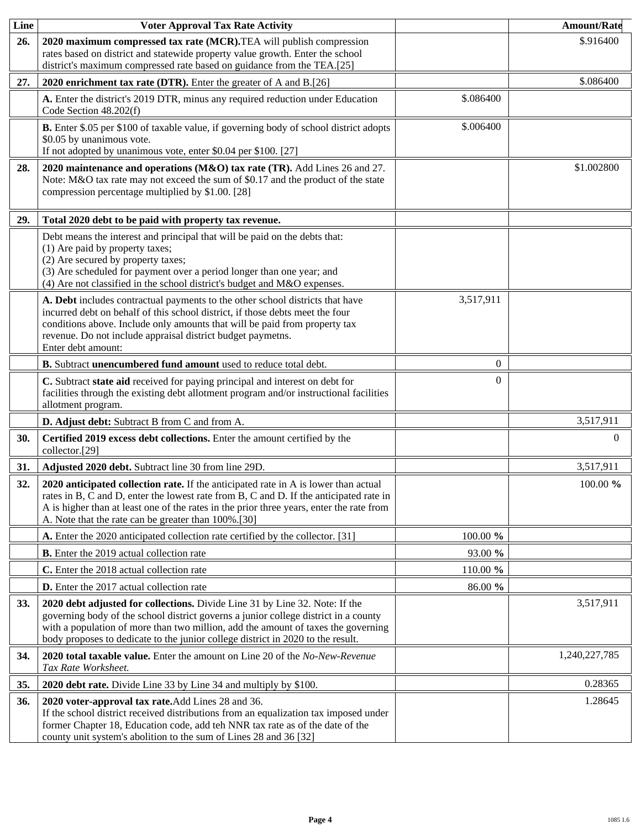| Line | <b>Voter Approval Tax Rate Activity</b>                                                                                                                                                                                                                                                                                                    |           | <b>Amount/Rate</b> |
|------|--------------------------------------------------------------------------------------------------------------------------------------------------------------------------------------------------------------------------------------------------------------------------------------------------------------------------------------------|-----------|--------------------|
| 26.  | 2020 maximum compressed tax rate (MCR). TEA will publish compression<br>rates based on district and statewide property value growth. Enter the school<br>district's maximum compressed rate based on guidance from the TEA.[25]                                                                                                            |           | \$.916400          |
| 27.  | 2020 enrichment tax rate (DTR). Enter the greater of A and B.[26]                                                                                                                                                                                                                                                                          |           | \$.086400          |
|      | A. Enter the district's 2019 DTR, minus any required reduction under Education<br>Code Section 48.202(f)                                                                                                                                                                                                                                   | \$.086400 |                    |
|      | B. Enter \$.05 per \$100 of taxable value, if governing body of school district adopts<br>\$0.05 by unanimous vote.<br>If not adopted by unanimous vote, enter \$0.04 per \$100. [27]                                                                                                                                                      | \$.006400 |                    |
| 28.  | 2020 maintenance and operations (M&O) tax rate (TR). Add Lines 26 and 27.<br>Note: M&O tax rate may not exceed the sum of \$0.17 and the product of the state<br>compression percentage multiplied by \$1.00. [28]                                                                                                                         |           | \$1.002800         |
| 29.  | Total 2020 debt to be paid with property tax revenue.                                                                                                                                                                                                                                                                                      |           |                    |
|      | Debt means the interest and principal that will be paid on the debts that:<br>(1) Are paid by property taxes;<br>(2) Are secured by property taxes;<br>(3) Are scheduled for payment over a period longer than one year; and<br>(4) Are not classified in the school district's budget and M&O expenses.                                   |           |                    |
|      | A. Debt includes contractual payments to the other school districts that have<br>incurred debt on behalf of this school district, if those debts meet the four<br>conditions above. Include only amounts that will be paid from property tax<br>revenue. Do not include appraisal district budget paymetns.<br>Enter debt amount:          | 3,517,911 |                    |
|      | B. Subtract unencumbered fund amount used to reduce total debt.                                                                                                                                                                                                                                                                            | $\theta$  |                    |
|      | C. Subtract state aid received for paying principal and interest on debt for<br>facilities through the existing debt allotment program and/or instructional facilities<br>allotment program.                                                                                                                                               | $\Omega$  |                    |
|      | D. Adjust debt: Subtract B from C and from A.                                                                                                                                                                                                                                                                                              |           | 3,517,911          |
| 30.  | Certified 2019 excess debt collections. Enter the amount certified by the<br>collector.[29]                                                                                                                                                                                                                                                |           | $\Omega$           |
| 31.  | Adjusted 2020 debt. Subtract line 30 from line 29D.                                                                                                                                                                                                                                                                                        |           | 3,517,911          |
| 32.  | 2020 anticipated collection rate. If the anticipated rate in A is lower than actual<br>rates in B, C and D, enter the lowest rate from B, C and D. If the anticipated rate in<br>A is higher than at least one of the rates in the prior three years, enter the rate from<br>A. Note that the rate can be greater than 100%.[30]           |           | 100.00 %           |
|      | A. Enter the 2020 anticipated collection rate certified by the collector. [31]                                                                                                                                                                                                                                                             | 100.00 %  |                    |
|      | <b>B.</b> Enter the 2019 actual collection rate                                                                                                                                                                                                                                                                                            | 93.00 %   |                    |
|      | C. Enter the 2018 actual collection rate                                                                                                                                                                                                                                                                                                   | 110.00 %  |                    |
|      | <b>D.</b> Enter the 2017 actual collection rate                                                                                                                                                                                                                                                                                            | 86.00 %   |                    |
| 33.  | 2020 debt adjusted for collections. Divide Line 31 by Line 32. Note: If the<br>governing body of the school district governs a junior college district in a county<br>with a population of more than two million, add the amount of taxes the governing<br>body proposes to dedicate to the junior college district in 2020 to the result. |           | 3,517,911          |
| 34.  | 2020 total taxable value. Enter the amount on Line 20 of the No-New-Revenue<br>Tax Rate Worksheet.                                                                                                                                                                                                                                         |           | 1,240,227,785      |
| 35.  | 2020 debt rate. Divide Line 33 by Line 34 and multiply by \$100.                                                                                                                                                                                                                                                                           |           | 0.28365            |
| 36.  | 2020 voter-approval tax rate. Add Lines 28 and 36.<br>If the school district received distributions from an equalization tax imposed under<br>former Chapter 18, Education code, add teh NNR tax rate as of the date of the<br>county unit system's abolition to the sum of Lines 28 and 36 [32]                                           |           | 1.28645            |